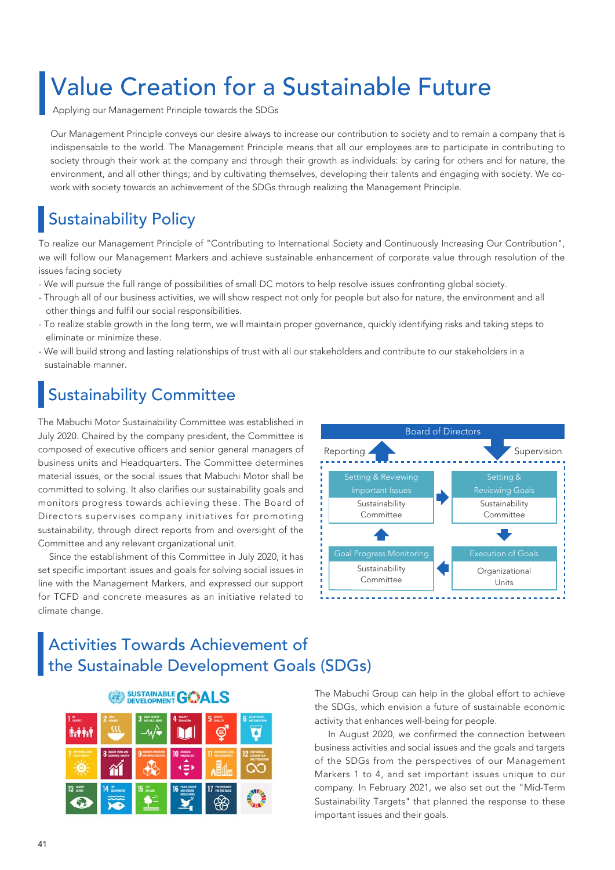Applying our Management Principle towards the SDGs

Our Management Principle conveys our desire always to increase our contribution to society and to remain a company that is indispensable to the world. The Management Principle means that all our employees are to participate in contributing to society through their work at the company and through their growth as individuals: by caring for others and for nature, the environment, and all other things; and by cultivating themselves, developing their talents and engaging with society. We cowork with society towards an achievement of the SDGs through realizing the Management Principle.

# Sustainability Policy

To realize our Management Principle of "Contributing to International Society and Continuously Increasing Our Contribution", we will follow our Management Markers and achieve sustainable enhancement of corporate value through resolution of the issues facing society

- We will pursue the full range of possibilities of small DC motors to help resolve issues confronting global society.
- Through all of our business activities, we will show respect not only for people but also for nature, the environment and all other things and fulfil our social responsibilities.
- To realize stable growth in the long term, we will maintain proper governance, quickly identifying risks and taking steps to eliminate or minimize these.
- We will build strong and lasting relationships of trust with all our stakeholders and contribute to our stakeholders in a sustainable manner.

# ustainability Committee

The Mabuchi Motor Sustainability Committee was established in July 2020. Chaired by the company president, the Committee is composed of executive officers and senior general managers of business units and Headquarters. The Committee determines material issues, or the social issues that Mabuchi Motor shall be committed to solving. It also clarifies our sustainability goals and monitors progress towards achieving these. The Board of Directors supervises company initiatives for promoting sustainability, through direct reports from and oversight of the Committee and any relevant organizational unit.

 Since the establishment of this Committee in July 2020, it has set specific important issues and goals for solving social issues in line with the Management Markers, and expressed our support for TCFD and concrete measures as an initiative related to climate change.



# Activities Towards Achievement of the Sustainable Development Goals (SDGs)



The Mabuchi Group can help in the global effort to achieve the SDGs, which envision a future of sustainable economic activity that enhances well-being for people.

 In August 2020, we confirmed the connection between business activities and social issues and the goals and targets of the SDGs from the perspectives of our Management Markers 1 to 4, and set important issues unique to our company. In February 2021, we also set out the "Mid-Term Sustainability Targets" that planned the response to these important issues and their goals.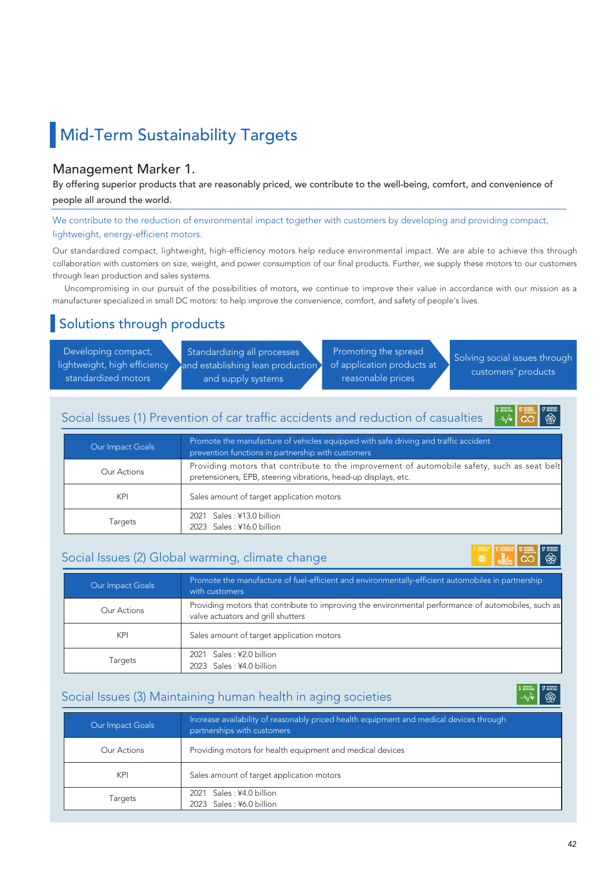# **Mid-Term Sustainability Targets**

#### Management Marker 1.

By offering superior products that are reasonably priced, we contribute to the well-being, comfort, and convenience of people all around the world.

We contribute to the reduction of environmental impact together with customers by developing and providing compact, lightweight, energy-efficient motors.

Our standardized compact, lightweight, high-efficiency motors help reduce environmental impact. We are able to achieve this through collaboration with customers on size, weight, and power consumption of our final products. Further, we supply these motors to our customers through lean production and sales systems.

 Uncompromising in our pursuit of the possibilities of motors, we continue to improve their value in accordance with our mission as a manufacturer specialized in small DC motors: to help improve the convenience, comfort, and safety of people's lives.

## Solutions through products

Developing compact, lightweight, high efficiency standardized motors

Standardizing all processes and establishing lean production and supply systems

Promoting the spread of application products at reasonable prices

Solving social issues through customers' products

#### Social Issues (1) Prevention of car traffic accidents and reduction of casualties



| Our Impact Goals | Promote the manufacture of vehicles equipped with safe driving and traffic accident<br>prevention functions in partnership with customers                      |
|------------------|----------------------------------------------------------------------------------------------------------------------------------------------------------------|
| Our Actions      | Providing motors that contribute to the improvement of automobile safety, such as seat belt<br>pretensioners, EPB, steering vibrations, head-up displays, etc. |
| KPI              | Sales amount of target application motors                                                                                                                      |
| Targets          | 2021 Sales: ¥13.0 billion<br>2023 Sales: ¥16.0 billion                                                                                                         |

#### Social Issues (2) Global warming, climate change

| Our Impact Goals | Promote the manufacture of fuel-efficient and environmentally-efficient automobiles in partnership<br>with customers                      |
|------------------|-------------------------------------------------------------------------------------------------------------------------------------------|
| Our Actions      | Providing motors that contribute to improving the environmental performance of automobiles, such as<br>valve actuators and grill shutters |
| <b>KPI</b>       | Sales amount of target application motors                                                                                                 |
| Targets          | 2021 Sales: ¥2.0 billion<br>2023 Sales: ¥4.0 billion                                                                                      |

#### Social Issues (3) Maintaining human health in aging societies

| Our Impact Goals | Increase availability of reasonably priced health equipment and medical devices through<br>partnerships with customers |
|------------------|------------------------------------------------------------------------------------------------------------------------|
| Our Actions      | Providing motors for health equipment and medical devices                                                              |
| <b>KPI</b>       | Sales amount of target application motors                                                                              |
| Targets          | 2021 Sales: ¥4.0 billion<br>2023 Sales: ¥6.0 billion                                                                   |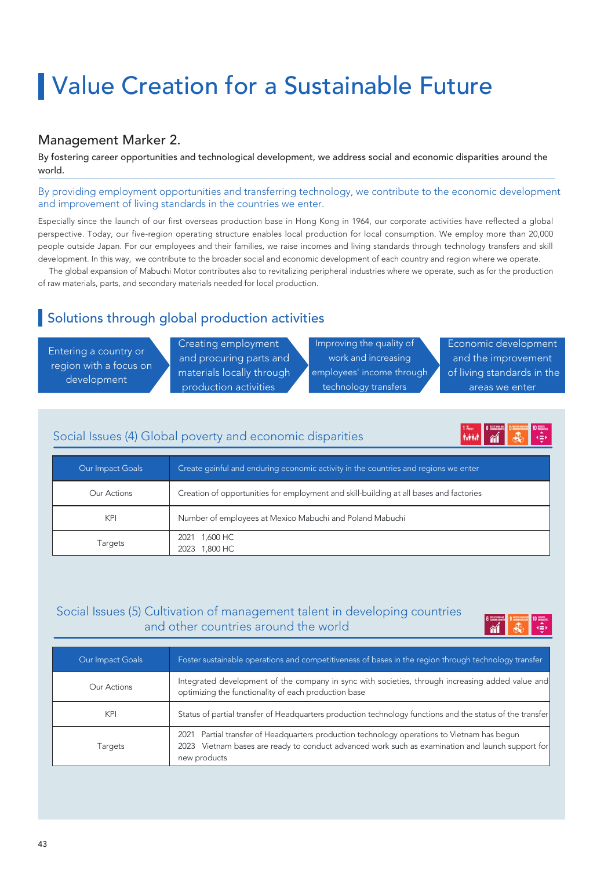#### Management Marker 2.

By fostering career opportunities and technological development, we address social and economic disparities around the world.

By providing employment opportunities and transferring technology, we contribute to the economic development and improvement of living standards in the countries we enter.

Especially since the launch of our first overseas production base in Hong Kong in 1964, our corporate activities have reflected a global perspective. Today, our five-region operating structure enables local production for local consumption. We employ more than 20,000 people outside Japan. For our employees and their families, we raise incomes and living standards through technology transfers and skill development. In this way, we contribute to the broader social and economic development of each country and region where we operate.

 The global expansion of Mabuchi Motor contributes also to revitalizing peripheral industries where we operate, such as for the production of raw materials, parts, and secondary materials needed for local production.

## Solutions through global production activities

Entering a country or region with a focus on development

Creating employment and procuring parts and materials locally through production activities

Improving the quality of work and increasing employees' income through technology transfers

Economic development and the improvement of living standards in the areas we enter

**MAN** 

#### Social Issues (4) Global poverty and economic disparities

| Our Impact Goals | Create gainful and enduring economic activity in the countries and regions we enter    |
|------------------|----------------------------------------------------------------------------------------|
| Our Actions      | Creation of opportunities for employment and skill-building at all bases and factories |
| <b>KPI</b>       | Number of employees at Mexico Mabuchi and Poland Mabuchi                               |
| Targets          | 2021 1,600 HC<br>1,800 HC<br>2023                                                      |

#### Social Issues (5) Cultivation of management talent in developing countries and other countries around the world

| Our Impact Goals | Foster sustainable operations and competitiveness of bases in the region through technology transfer                                                                                                            |
|------------------|-----------------------------------------------------------------------------------------------------------------------------------------------------------------------------------------------------------------|
| Our Actions      | Integrated development of the company in sync with societies, through increasing added value and<br>optimizing the functionality of each production base                                                        |
| KPI              | Status of partial transfer of Headquarters production technology functions and the status of the transfer                                                                                                       |
| Targets          | 2021 Partial transfer of Headquarters production technology operations to Vietnam has begun<br>2023 Vietnam bases are ready to conduct advanced work such as examination and launch support for<br>new products |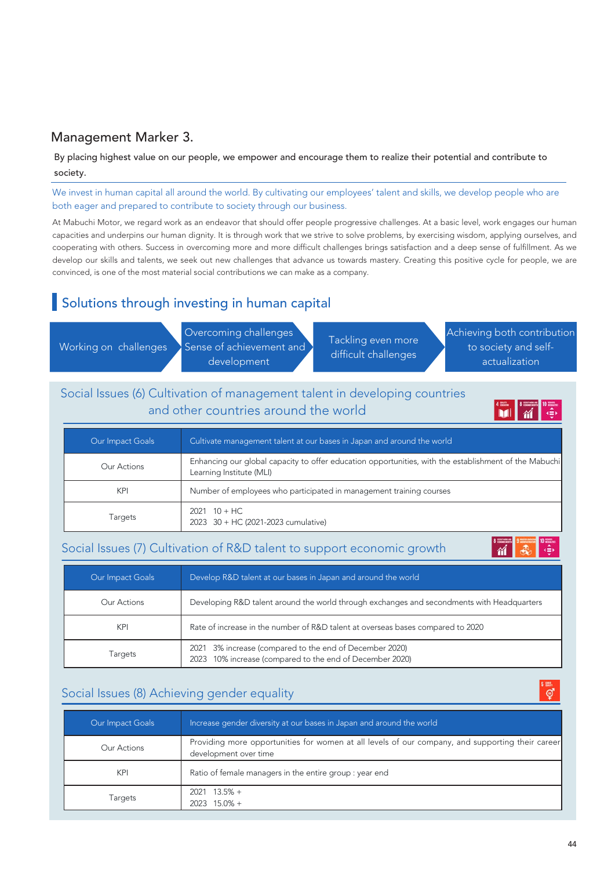### Management Marker 3.

By placing highest value on our people, we empower and encourage them to realize their potential and contribute to society.

We invest in human capital all around the world. By cultivating our employees' talent and skills, we develop people who are both eager and prepared to contribute to society through our business.

At Mabuchi Motor, we regard work as an endeavor that should offer people progressive challenges. At a basic level, work engages our human capacities and underpins our human dignity. It is through work that we strive to solve problems, by exercising wisdom, applying ourselves, and cooperating with others. Success in overcoming more and more difficult challenges brings satisfaction and a deep sense of fulfillment. As we develop our skills and talents, we seek out new challenges that advance us towards mastery. Creating this positive cycle for people, we are convinced, is one of the most material social contributions we can make as a company.

## Solutions through investing in human capital

Working on challenges

Overcoming challenges Sense of achievement and development

Tackling even more difficult challenges

Achieving both contribution to society and selfactualization

## Social Issues (6) Cultivation of management talent in developing countries and other countries around the world

**MI**  $\mathbf{M}$ 

| Our Impact Goals | Cultivate management talent at our bases in Japan and around the world                                                            |
|------------------|-----------------------------------------------------------------------------------------------------------------------------------|
| Our Actions      | Enhancing our global capacity to offer education opportunities, with the establishment of the Mabuchi<br>Learning Institute (MLI) |
| <b>KPI</b>       | Number of employees who participated in management training courses                                                               |
| Targets          | $2021 \t10 + HC$<br>2023 30 + HC (2021-2023 cumulative)                                                                           |

#### Social Issues (7) Cultivation of R&D talent to support economic growth



| Our Impact Goals | Develop R&D talent at our bases in Japan and around the world                                                             |
|------------------|---------------------------------------------------------------------------------------------------------------------------|
| Our Actions      | Developing R&D talent around the world through exchanges and secondments with Headquarters                                |
| KPI              | Rate of increase in the number of R&D talent at overseas bases compared to 2020                                           |
| Targets          | 3% increase (compared to the end of December 2020)<br>2021<br>10% increase (compared to the end of December 2020)<br>2023 |

### Social Issues (8) Achieving gender equality

| Our Impact Goals | Increase gender diversity at our bases in Japan and around the world                                                      |
|------------------|---------------------------------------------------------------------------------------------------------------------------|
| Our Actions      | Providing more opportunities for women at all levels of our company, and supporting their career<br>development over time |
| KPI              | Ratio of female managers in the entire group : year end                                                                   |
| <b>Targets</b>   | $2021$ 13.5% +<br>$2023$ 15.0% +                                                                                          |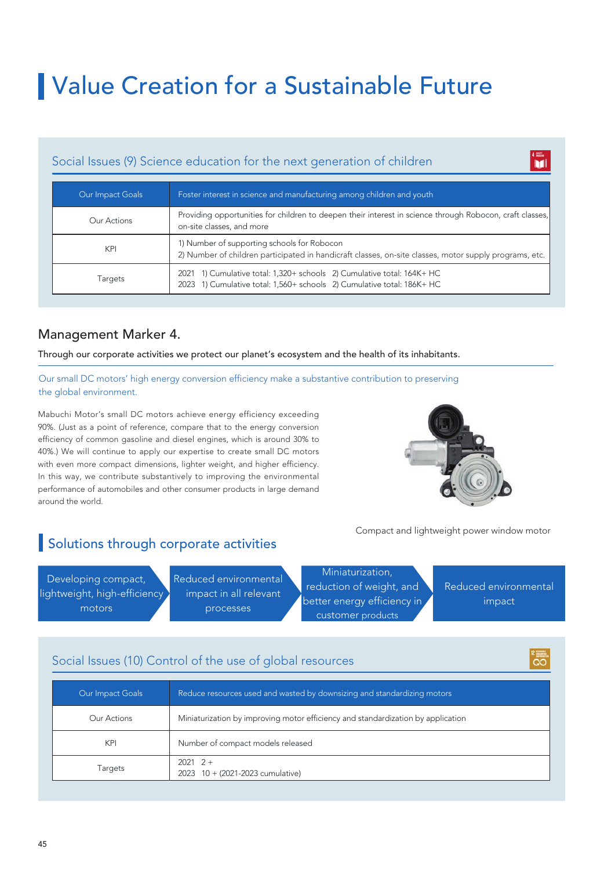#### Social Issues (9) Science education for the next generation of children

| Our Impact Goals | Foster interest in science and manufacturing among children and youth                                                                                 |
|------------------|-------------------------------------------------------------------------------------------------------------------------------------------------------|
| Our Actions      | Providing opportunities for children to deepen their interest in science through Robocon, craft classes,<br>on-site classes, and more                 |
| KPI              | 1) Number of supporting schools for Robocon<br>2) Number of children participated in handicraft classes, on-site classes, motor supply programs, etc. |
| Targets          | 2021 1) Cumulative total: 1,320+ schools 2) Cumulative total: 164K+ HC<br>2023 1) Cumulative total: 1,560+ schools 2) Cumulative total: 186K+ HC      |

### Management Marker 4.

Through our corporate activities we protect our planet's ecosystem and the health of its inhabitants.

Our small DC motors' high energy conversion efficiency make a substantive contribution to preserving the global environment.

Mabuchi Motor's small DC motors achieve energy efficiency exceeding 90%. (Just as a point of reference, compare that to the energy conversion efficiency of common gasoline and diesel engines, which is around 30% to 40%.) We will continue to apply our expertise to create small DC motors with even more compact dimensions, lighter weight, and higher efficiency. In this way, we contribute substantively to improving the environmental performance of automobiles and other consumer products in large demand around the world.



Compact and lightweight power window motor

# Solutions through corporate activities

Developing compact, lightweight, high-efficiency motors

Reduced environmental impact in all relevant processes

Miniaturization, reduction of weight, and better energy efficiency in customer products

Reduced environmental impact

1 iii.<br>Nii

## Social Issues (10) Control of the use of global resources

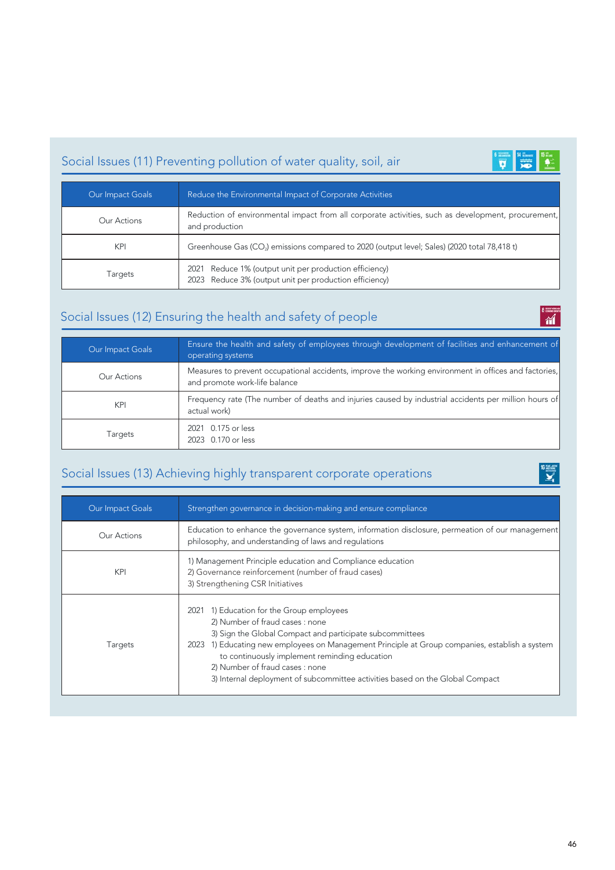# Social Issues (11) Preventing pollution of water quality, soil, air



 $\frac{1}{\omega}$ 

 $\sum_{i=1}^{16}$ 

| Our Impact Goals | Reduce the Environmental Impact of Corporate Activities                                                              |
|------------------|----------------------------------------------------------------------------------------------------------------------|
| Our Actions      | Reduction of environmental impact from all corporate activities, such as development, procurement,<br>and production |
| KPI              | Greenhouse Gas (CO <sub>2</sub> ) emissions compared to 2020 (output level; Sales) (2020 total 78,418 t)             |
| Targets          | 2021 Reduce 1% (output unit per production efficiency)<br>2023 Reduce 3% (output unit per production efficiency)     |

# Social Issues (12) Ensuring the health and safety of people

| Our Impact Goals | Ensure the health and safety of employees through development of facilities and enhancement of<br>operating systems                    |
|------------------|----------------------------------------------------------------------------------------------------------------------------------------|
| Our Actions      | Measures to prevent occupational accidents, improve the working environment in offices and factories,<br>and promote work-life balance |
| <b>KPI</b>       | Frequency rate (The number of deaths and injuries caused by industrial accidents per million hours of<br>actual work)                  |
| Targets          | 2021 0.175 or less<br>2023 0.170 or less                                                                                               |

# Social Issues (13) Achieving highly transparent corporate operations

| Our Impact Goals | Strengthen governance in decision-making and ensure compliance                                                                                                                                                                                                                                                                                                                                                     |
|------------------|--------------------------------------------------------------------------------------------------------------------------------------------------------------------------------------------------------------------------------------------------------------------------------------------------------------------------------------------------------------------------------------------------------------------|
| Our Actions      | Education to enhance the governance system, information disclosure, permeation of our management<br>philosophy, and understanding of laws and regulations                                                                                                                                                                                                                                                          |
| KPI              | 1) Management Principle education and Compliance education<br>2) Governance reinforcement (number of fraud cases)<br>3) Strengthening CSR Initiatives                                                                                                                                                                                                                                                              |
| <b>Targets</b>   | 2021 1) Education for the Group employees<br>2) Number of fraud cases : none<br>3) Sign the Global Compact and participate subcommittees<br>1) Educating new employees on Management Principle at Group companies, establish a system<br>2023<br>to continuously implement reminding education<br>2) Number of fraud cases : none<br>3) Internal deployment of subcommittee activities based on the Global Compact |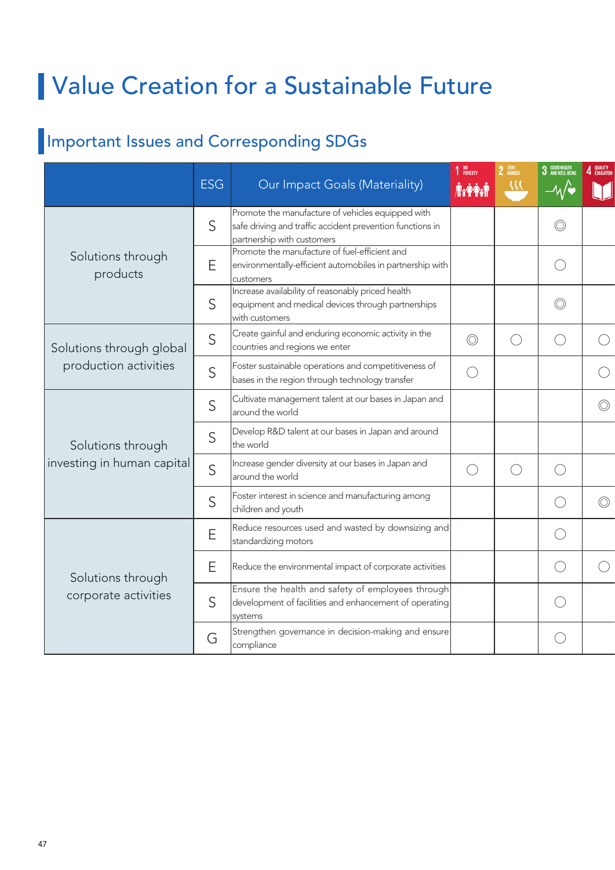# Important Issues and Corresponding SDGs

|                                                   |            |                                                                                                                                              | 1 NO <sub>POWERTY</sub> |        | 3 GOOD HEALTH  |                |
|---------------------------------------------------|------------|----------------------------------------------------------------------------------------------------------------------------------------------|-------------------------|--------|----------------|----------------|
|                                                   | <b>ESG</b> | Our Impact Goals (Materiality)                                                                                                               | <b>Trefton</b>          |        |                |                |
| Solutions through<br>products                     | S          | Promote the manufacture of vehicles equipped with<br>safe driving and traffic accident prevention functions in<br>partnership with customers |                         |        | $\circledcirc$ |                |
|                                                   | E          | Promote the manufacture of fuel-efficient and<br>environmentally-efficient automobiles in partnership with<br>Icustomers                     |                         |        | $\bigcirc$     |                |
|                                                   | S          | Increase availability of reasonably priced health<br>equipment and medical devices through partnerships<br>with customers                    |                         |        | $\circledcirc$ |                |
| Solutions through global<br>production activities | S          | Create gainful and enduring economic activity in the<br>countries and regions we enter                                                       | $\circledcirc$          | ◯      | ⌒              |                |
|                                                   | S          | Foster sustainable operations and competitiveness of<br>bases in the region through technology transfer                                      | $\bigcirc$              |        |                |                |
| Solutions through<br>investing in human capital   | S          | Cultivate management talent at our bases in Japan and<br>around the world                                                                    |                         |        |                | $\circledcirc$ |
|                                                   | S          | Develop R&D talent at our bases in Japan and around<br>the world                                                                             |                         |        |                |                |
|                                                   | S          | Increase gender diversity at our bases in Japan and<br>around the world                                                                      | $\bigcirc$              | $(\ )$ | $\bigcirc$     |                |
|                                                   | S          | Foster interest in science and manufacturing among<br>children and youth                                                                     |                         |        | $\bigcirc$     | $\circledcirc$ |
| Solutions through<br>corporate activities         | Ε          | Reduce resources used and wasted by downsizing and<br>standardizing motors                                                                   |                         |        | $\bigcirc$     |                |
|                                                   | Е          | Reduce the environmental impact of corporate activities                                                                                      |                         |        | $\bigcirc$     |                |
|                                                   | S          | Ensure the health and safety of employees through<br>development of facilities and enhancement of operating<br>systems                       |                         |        | $\bigcirc$     |                |
|                                                   | G          | Strengthen governance in decision-making and ensure<br>compliance                                                                            |                         |        | $\bigcirc$     |                |